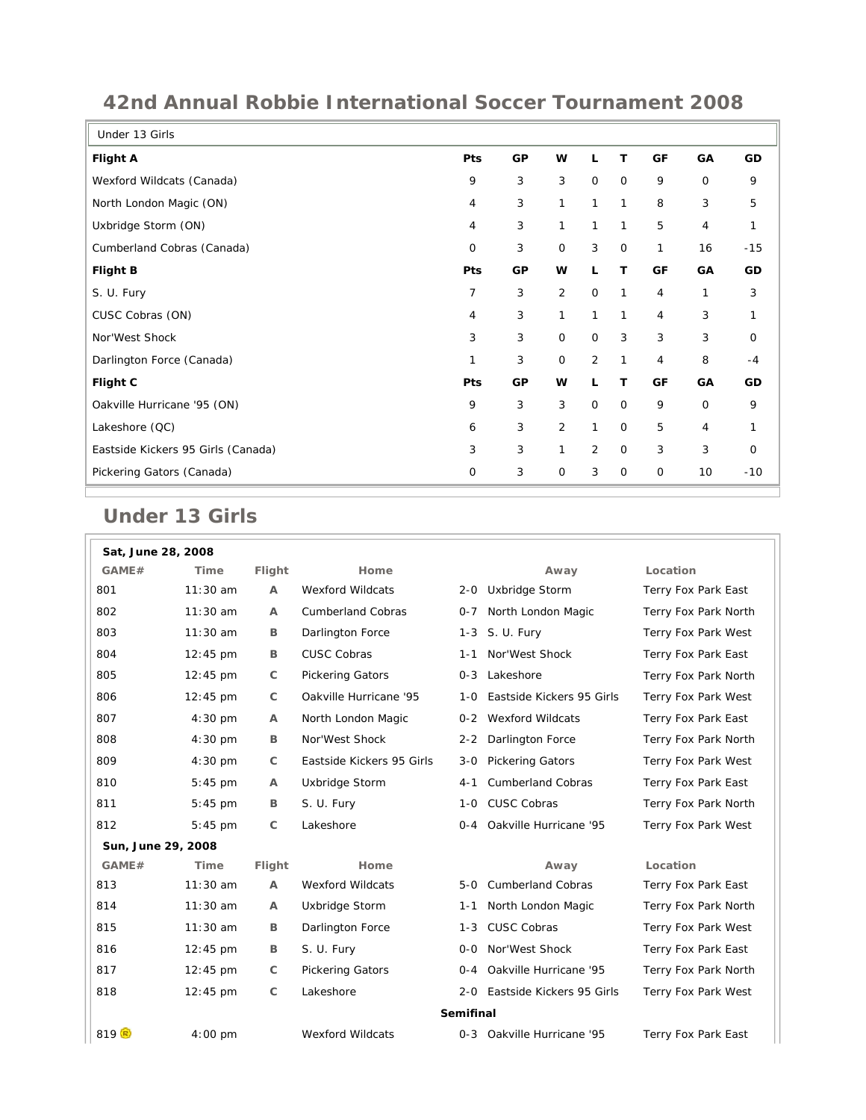| Under 13 Girls                     |                |           |                |                |             |              |             |       |
|------------------------------------|----------------|-----------|----------------|----------------|-------------|--------------|-------------|-------|
| <b>Flight A</b>                    | Pts            | GP        | W              |                | т           | GF           | GA          | GD    |
| Wexford Wildcats (Canada)          | 9              | 3         | 3              | $\mathbf 0$    | $\mathbf 0$ | 9            | $\mathbf 0$ | 9     |
| North London Magic (ON)            | 4              | 3         | $\mathbf{1}$   | $\mathbf{1}$   | 1           | 8            | 3           | 5     |
| Uxbridge Storm (ON)                | 4              | 3         | 1              | 1              | 1           | 5            | 4           | 1     |
| Cumberland Cobras (Canada)         | 0              | 3         | $\mathbf 0$    | 3              | $\mathbf 0$ | 1            | 16          | $-15$ |
| <b>Flight B</b>                    | Pts            | <b>GP</b> | W              | L              | т           | GF           | GA          | GD    |
| S. U. Fury                         | $\overline{7}$ | 3         | $\overline{2}$ | $\mathbf 0$    | 1           | 4            | 1           | 3     |
| CUSC Cobras (ON)                   | 4              | 3         | $\mathbf{1}$   | $\mathbf{1}$   | 1           | 4            | 3           | 1     |
| Nor'West Shock                     | 3              | 3         | $\mathsf{O}$   | $\mathbf 0$    | 3           | 3            | 3           | 0     |
| Darlington Force (Canada)          | 1              | 3         | $\mathbf 0$    | 2              | 1           | 4            | 8           | $-4$  |
| Flight C                           | Pts            | GP        | w              | L              | т           | GF           | GA          | GD    |
| Oakville Hurricane '95 (ON)        | 9              | 3         | 3              | $\mathbf 0$    | $\mathbf 0$ | 9            | $\mathbf 0$ | 9     |
| Lakeshore (QC)                     | 6              | 3         | $\overline{2}$ | $\mathbf{1}$   | 0           | 5            | 4           | 1     |
| Eastside Kickers 95 Girls (Canada) | 3              | 3         | 1              | $\overline{2}$ | $\mathbf 0$ | 3            | 3           | 0     |
| Pickering Gators (Canada)          | $\mathbf 0$    | 3         | $\mathbf 0$    | 3              | $\mathbf 0$ | $\mathsf{O}$ | 10          | $-10$ |

## **42nd Annual Robbie International Soccer Tournament 2008**

## **Under 13 Girls**

| Sat, June 28, 2008 |                    |                |                           |         |                            |                      |  |
|--------------------|--------------------|----------------|---------------------------|---------|----------------------------|----------------------|--|
| GAME#              | Time               | Flight         | Home                      |         | Away                       | Location             |  |
| 801                | $11:30$ am         | Α              | <b>Wexford Wildcats</b>   |         | 2-0 Uxbridge Storm         | Terry Fox Park East  |  |
| 802                | $11:30$ am         | A              | <b>Cumberland Cobras</b>  | $0 - 7$ | North London Magic         | Terry Fox Park North |  |
| 803                | $11:30$ am         | B              | Darlington Force          |         | 1-3 S. U. Fury             | Terry Fox Park West  |  |
| 804                | 12:45 pm           | B              | <b>CUSC Cobras</b>        | 1-1     | Nor'West Shock             | Terry Fox Park East  |  |
| 805                | 12:45 pm           | C              | <b>Pickering Gators</b>   |         | 0-3 Lakeshore              | Terry Fox Park North |  |
| 806                | $12:45$ pm         | C              | Oakville Hurricane '95    | 1-0     | Eastside Kickers 95 Girls  | Terry Fox Park West  |  |
| 807                | $4:30 \text{ pm}$  | A              | North London Magic        |         | 0-2 Wexford Wildcats       | Terry Fox Park East  |  |
| 808                | $4:30$ pm          | В              | Nor'West Shock            | $2 - 2$ | Darlington Force           | Terry Fox Park North |  |
| 809                | $4:30$ pm          | $\mathsf C$    | Eastside Kickers 95 Girls | 3-0     | <b>Pickering Gators</b>    | Terry Fox Park West  |  |
| 810                | 5:45 pm            | $\overline{A}$ | Uxbridge Storm            | 4-1     | <b>Cumberland Cobras</b>   | Terry Fox Park East  |  |
| 811                | 5:45 pm            | B              | S. U. Fury                | 1-0     | <b>CUSC Cobras</b>         | Terry Fox Park North |  |
| 812                | $5:45$ pm          | $\mathsf{C}$   | Lakeshore                 |         | 0-4 Oakville Hurricane '95 | Terry Fox Park West  |  |
| Sun, June 29, 2008 |                    |                |                           |         |                            |                      |  |
| GAME#              | Time               | Flight         | Home                      |         | Away                       | Location             |  |
| 813                | $11:30$ am         | $\mathsf{A}$   | <b>Wexford Wildcats</b>   | 5-0     | <b>Cumberland Cobras</b>   | Terry Fox Park East  |  |
| 814                | $11:30$ am         | A              | Uxbridge Storm            | 1-1     | North London Magic         | Terry Fox Park North |  |
| 815                | 11:30 am           | В              | Darlington Force          | 1-3     | <b>CUSC Cobras</b>         | Terry Fox Park West  |  |
| 816                | 12:45 pm           | В              | S. U. Fury                | 0-0     | Nor'West Shock             | Terry Fox Park East  |  |
| 817                | 12:45 pm           | C              | <b>Pickering Gators</b>   | $O - 4$ | Oakville Hurricane '95     | Terry Fox Park North |  |
| 818                | $12:45 \text{ pm}$ | $\mathsf{C}$   | Lakeshore                 | 2-0     | Eastside Kickers 95 Girls  | Terry Fox Park West  |  |
| <b>Semifinal</b>   |                    |                |                           |         |                            |                      |  |
| 819 $\sqrt{R}$     | $4:00$ pm          |                | <b>Wexford Wildcats</b>   | $0 - 3$ | Oakville Hurricane '95     | Terry Fox Park East  |  |